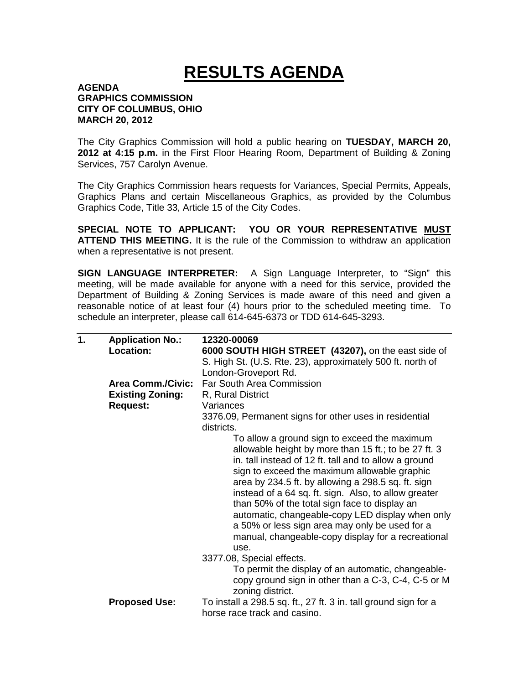## **RESULTS AGENDA**

## **AGENDA GRAPHICS COMMISSION CITY OF COLUMBUS, OHIO MARCH 20, 2012**

The City Graphics Commission will hold a public hearing on **TUESDAY, MARCH 20, 2012 at 4:15 p.m.** in the First Floor Hearing Room, Department of Building & Zoning Services, 757 Carolyn Avenue.

The City Graphics Commission hears requests for Variances, Special Permits, Appeals, Graphics Plans and certain Miscellaneous Graphics, as provided by the Columbus Graphics Code, Title 33, Article 15 of the City Codes.

**SPECIAL NOTE TO APPLICANT: YOU OR YOUR REPRESENTATIVE MUST ATTEND THIS MEETING.** It is the rule of the Commission to withdraw an application when a representative is not present.

**SIGN LANGUAGE INTERPRETER:** A Sign Language Interpreter, to "Sign" this meeting, will be made available for anyone with a need for this service, provided the Department of Building & Zoning Services is made aware of this need and given a reasonable notice of at least four (4) hours prior to the scheduled meeting time. To schedule an interpreter, please call 614-645-6373 or TDD 614-645-3293.

| 1. | <b>Application No.:</b>  | 12320-00069                                                             |
|----|--------------------------|-------------------------------------------------------------------------|
|    | Location:                | 6000 SOUTH HIGH STREET (43207), on the east side of                     |
|    |                          | S. High St. (U.S. Rte. 23), approximately 500 ft. north of              |
|    |                          | London-Groveport Rd.                                                    |
|    | <b>Area Comm./Civic:</b> | Far South Area Commission                                               |
|    | <b>Existing Zoning:</b>  | R, Rural District                                                       |
|    | <b>Request:</b>          | Variances                                                               |
|    |                          | 3376.09, Permanent signs for other uses in residential                  |
|    |                          | districts.                                                              |
|    |                          | To allow a ground sign to exceed the maximum                            |
|    |                          | allowable height by more than 15 ft.; to be 27 ft. 3                    |
|    |                          | in. tall instead of 12 ft. tall and to allow a ground                   |
|    |                          | sign to exceed the maximum allowable graphic                            |
|    |                          | area by 234.5 ft. by allowing a 298.5 sq. ft. sign                      |
|    |                          | instead of a 64 sq. ft. sign. Also, to allow greater                    |
|    |                          | than 50% of the total sign face to display an                           |
|    |                          |                                                                         |
|    |                          | automatic, changeable-copy LED display when only                        |
|    |                          | a 50% or less sign area may only be used for a                          |
|    |                          | manual, changeable-copy display for a recreational                      |
|    |                          | use.                                                                    |
|    |                          | 3377.08, Special effects.                                               |
|    |                          | To permit the display of an automatic, changeable-                      |
|    |                          | copy ground sign in other than a C-3, C-4, C-5 or M<br>zoning district. |
|    | <b>Proposed Use:</b>     | To install a 298.5 sq. ft., 27 ft. 3 in. tall ground sign for a         |
|    |                          | horse race track and casino.                                            |